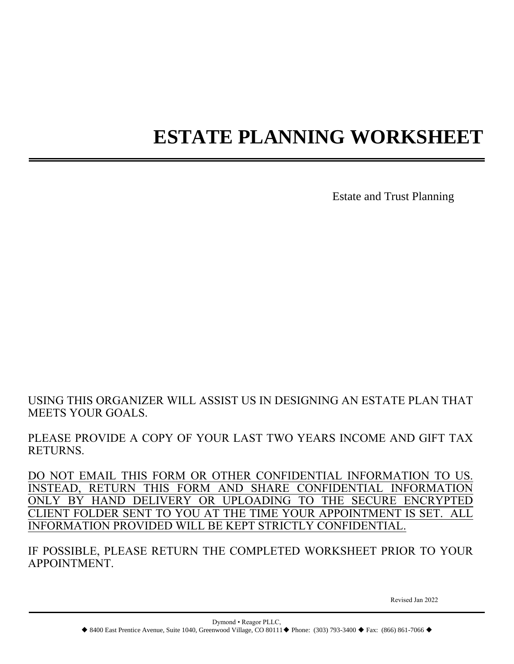# **ESTATE PLANNING WORKSHEET**

Estate and Trust Planning

USING THIS ORGANIZER WILL ASSIST US IN DESIGNING AN ESTATE PLAN THAT MEETS YOUR GOALS.

PLEASE PROVIDE A COPY OF YOUR LAST TWO YEARS INCOME AND GIFT TAX RETURNS.

DO NOT EMAIL THIS FORM OR OTHER CONFIDENTIAL INFORMATION TO US. INSTEAD, RETURN THIS FORM AND SHARE CONFIDENTIAL INFORMATION ONLY BY HAND DELIVERY OR UPLOADING TO THE SECURE ENCRYPTED CLIENT FOLDER SENT TO YOU AT THE TIME YOUR APPOINTMENT IS SET. ALL INFORMATION PROVIDED WILL BE KEPT STRICTLY CONFIDENTIAL.

IF POSSIBLE, PLEASE RETURN THE COMPLETED WORKSHEET PRIOR TO YOUR APPOINTMENT.

Revised Jan 2022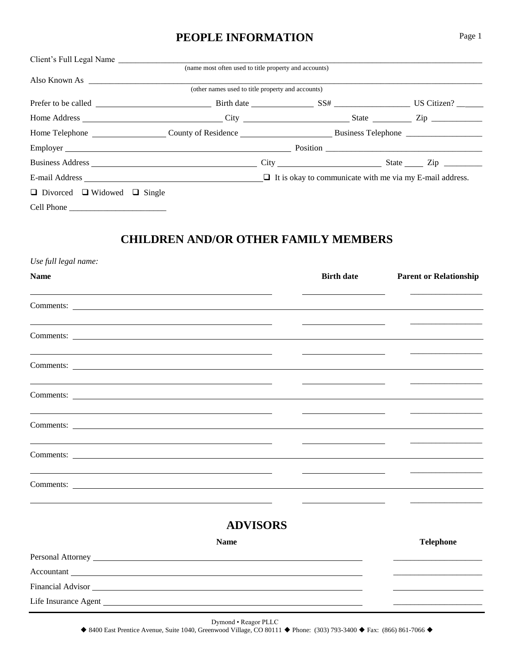## **PEOPLE INFORMATION** Page 1

| Client's Full Legal Name                     |                                                                                |                     |  |
|----------------------------------------------|--------------------------------------------------------------------------------|---------------------|--|
|                                              | (name most often used to title property and accounts)                          |                     |  |
|                                              |                                                                                |                     |  |
|                                              | (other names used to title property and accounts)                              |                     |  |
|                                              |                                                                                |                     |  |
|                                              |                                                                                |                     |  |
|                                              |                                                                                |                     |  |
|                                              |                                                                                |                     |  |
|                                              |                                                                                | $City$ $Size$ $Zip$ |  |
|                                              | E-mail Address $\Box$ It is okay to communicate with me via my E-mail address. |                     |  |
| $\Box$ Divorced $\Box$ Widowed $\Box$ Single |                                                                                |                     |  |
|                                              |                                                                                |                     |  |

# **CHILDREN AND/OR OTHER FAMILY MEMBERS**

| Use full legal name:                                                                                                                                                                                                           |                 |                   |                               |
|--------------------------------------------------------------------------------------------------------------------------------------------------------------------------------------------------------------------------------|-----------------|-------------------|-------------------------------|
| <b>Name</b>                                                                                                                                                                                                                    |                 | <b>Birth date</b> | <b>Parent or Relationship</b> |
| Comments:                                                                                                                                                                                                                      |                 |                   |                               |
| Comments:                                                                                                                                                                                                                      |                 |                   |                               |
|                                                                                                                                                                                                                                |                 |                   |                               |
|                                                                                                                                                                                                                                |                 |                   |                               |
|                                                                                                                                                                                                                                |                 |                   |                               |
|                                                                                                                                                                                                                                |                 |                   |                               |
|                                                                                                                                                                                                                                |                 |                   |                               |
|                                                                                                                                                                                                                                | <b>ADVISORS</b> |                   |                               |
|                                                                                                                                                                                                                                | <b>Name</b>     |                   | <b>Telephone</b>              |
| Personal Attorney Lawrence and Section 1986. The Section 1986 of the Section 1986.                                                                                                                                             |                 |                   |                               |
| Accountant                                                                                                                                                                                                                     |                 |                   |                               |
| Financial Advisor North Communication of the Communication of the Communication of the Communication of the Communication of the Communication of the Communication of the Communication of the Communication of the Communica |                 |                   |                               |
|                                                                                                                                                                                                                                |                 |                   |                               |
|                                                                                                                                                                                                                                |                 |                   |                               |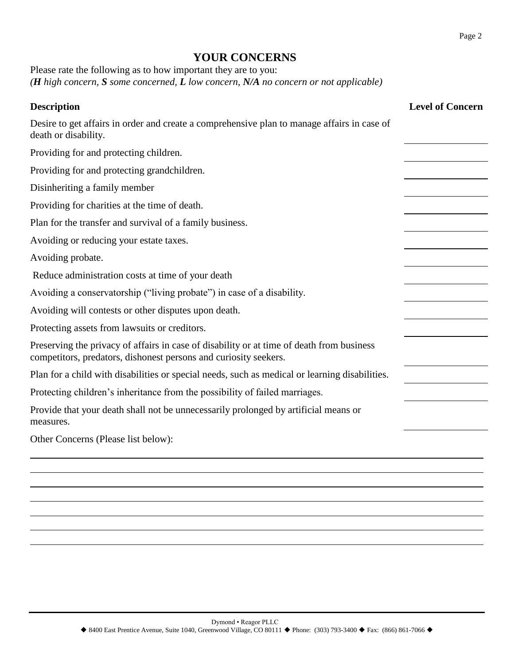# **YOUR CONCERNS**

| Please rate the following as to how important they are to you:                                     |  |
|----------------------------------------------------------------------------------------------------|--|
| ( <b>H</b> high concern, S some concerned, <b>L</b> low concern, N/A no concern or not applicable) |  |

| <b>Description</b>                                                                                                                                            | <b>Level of Concern</b> |
|---------------------------------------------------------------------------------------------------------------------------------------------------------------|-------------------------|
| Desire to get affairs in order and create a comprehensive plan to manage affairs in case of<br>death or disability.                                           |                         |
| Providing for and protecting children.                                                                                                                        |                         |
| Providing for and protecting grandchildren.                                                                                                                   |                         |
| Disinheriting a family member                                                                                                                                 |                         |
| Providing for charities at the time of death.                                                                                                                 |                         |
| Plan for the transfer and survival of a family business.                                                                                                      |                         |
| Avoiding or reducing your estate taxes.                                                                                                                       |                         |
| Avoiding probate.                                                                                                                                             |                         |
| Reduce administration costs at time of your death                                                                                                             |                         |
| Avoiding a conservatorship ("living probate") in case of a disability.                                                                                        |                         |
| Avoiding will contests or other disputes upon death.                                                                                                          |                         |
| Protecting assets from lawsuits or creditors.                                                                                                                 |                         |
| Preserving the privacy of affairs in case of disability or at time of death from business<br>competitors, predators, dishonest persons and curiosity seekers. |                         |
| Plan for a child with disabilities or special needs, such as medical or learning disabilities.                                                                |                         |
| Protecting children's inheritance from the possibility of failed marriages.                                                                                   |                         |
| Provide that your death shall not be unnecessarily prolonged by artificial means or<br>measures.                                                              |                         |
| Other Concerns (Please list below):                                                                                                                           |                         |
|                                                                                                                                                               |                         |
|                                                                                                                                                               |                         |
|                                                                                                                                                               |                         |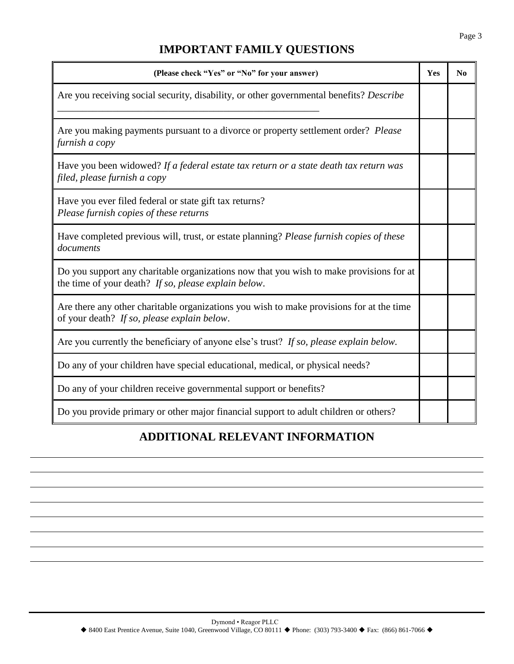# **IMPORTANT FAMILY QUESTIONS**

| (Please check "Yes" or "No" for your answer)                                                                                                    | Yes | N <sub>0</sub> |
|-------------------------------------------------------------------------------------------------------------------------------------------------|-----|----------------|
| Are you receiving social security, disability, or other governmental benefits? Describe                                                         |     |                |
| Are you making payments pursuant to a divorce or property settlement order? Please<br>furnish a copy                                            |     |                |
| Have you been widowed? If a federal estate tax return or a state death tax return was<br>filed, please furnish a copy                           |     |                |
| Have you ever filed federal or state gift tax returns?<br>Please furnish copies of these returns                                                |     |                |
| Have completed previous will, trust, or estate planning? Please furnish copies of these<br>documents                                            |     |                |
| Do you support any charitable organizations now that you wish to make provisions for at<br>the time of your death? If so, please explain below. |     |                |
| Are there any other charitable organizations you wish to make provisions for at the time<br>of your death? If so, please explain below.         |     |                |
| Are you currently the beneficiary of anyone else's trust? If so, please explain below.                                                          |     |                |
| Do any of your children have special educational, medical, or physical needs?                                                                   |     |                |
| Do any of your children receive governmental support or benefits?                                                                               |     |                |
| Do you provide primary or other major financial support to adult children or others?                                                            |     |                |

# **ADDITIONAL RELEVANT INFORMATION**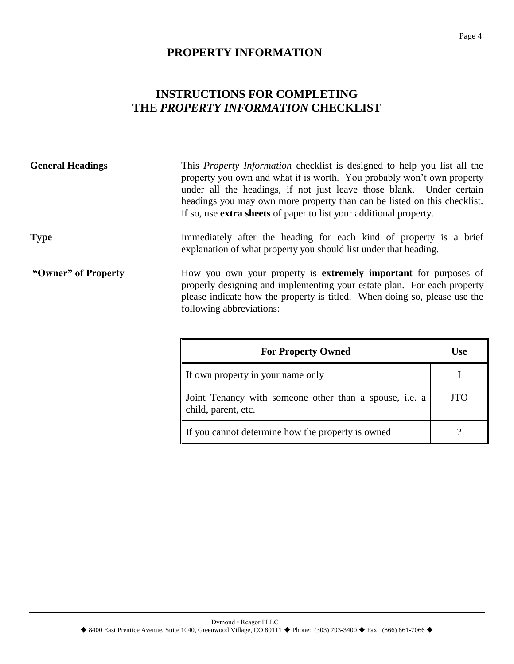# **PROPERTY INFORMATION**

# **INSTRUCTIONS FOR COMPLETING THE** *PROPERTY INFORMATION* **CHECKLIST**

| <b>General Headings</b> | This <i>Property Information</i> checklist is designed to help you list all the<br>property you own and what it is worth. You probably won't own property<br>under all the headings, if not just leave those blank. Under certain<br>headings you may own more property than can be listed on this checklist.<br>If so, use <b>extra sheets</b> of paper to list your additional property. |
|-------------------------|--------------------------------------------------------------------------------------------------------------------------------------------------------------------------------------------------------------------------------------------------------------------------------------------------------------------------------------------------------------------------------------------|
| <b>Type</b>             | Immediately after the heading for each kind of property is a brief<br>explanation of what property you should list under that heading.                                                                                                                                                                                                                                                     |
| "Owner" of Property     | How you own your property is <b>extremely important</b> for purposes of<br>properly designing and implementing your estate plan. For each property<br>please indicate how the property is titled. When doing so, please use the<br>following abbreviations:                                                                                                                                |

| <b>For Property Owned</b>                                                     | Use |
|-------------------------------------------------------------------------------|-----|
| If own property in your name only                                             |     |
| Joint Tenancy with someone other than a spouse, i.e. a<br>child, parent, etc. | JTO |
| If you cannot determine how the property is owned                             |     |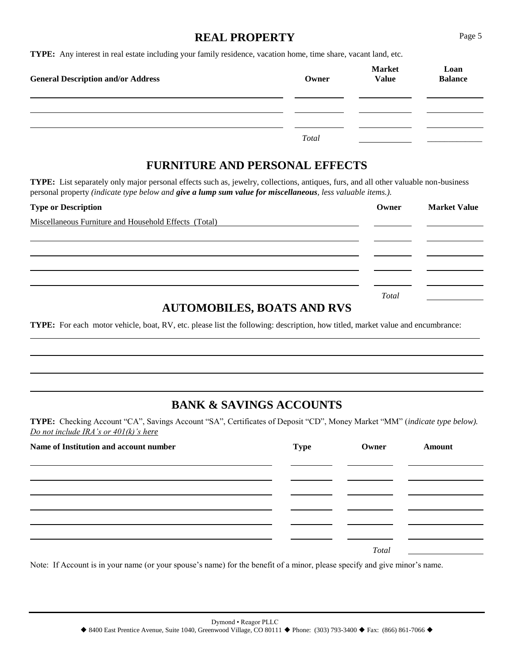#### **REAL PROPERTY** Page 5

**TYPE:** Any interest in real estate including your family residence, vacation home, time share, vacant land, etc.

| <b>General Description and/or Address</b> | Owner | <b>Market</b><br><b>Value</b> | Loan<br><b>Balance</b> |
|-------------------------------------------|-------|-------------------------------|------------------------|
|                                           |       |                               |                        |
|                                           |       |                               |                        |
|                                           | Total |                               |                        |

## **FURNITURE AND PERSONAL EFFECTS**

**TYPE:** List separately only major personal effects such as, jewelry, collections, antiques, furs, and all other valuable non-business personal property *(indicate type below and give a lump sum value for miscellaneous, less valuable items.).*

| <b>Type or Description</b>                            | Owner | <b>Market Value</b> |
|-------------------------------------------------------|-------|---------------------|
| Miscellaneous Furniture and Household Effects (Total) |       |                     |
|                                                       |       |                     |
|                                                       |       |                     |
|                                                       |       |                     |
|                                                       |       |                     |
|                                                       | Total |                     |

## **AUTOMOBILES, BOATS AND RVS**

**TYPE:** For each motor vehicle, boat, RV, etc. please list the following: description, how titled, market value and encumbrance:

# **BANK & SAVINGS ACCOUNTS**

**TYPE:** Checking Account "CA", Savings Account "SA", Certificates of Deposit "CD", Money Market "MM" (*indicate type below). Do not include IRA's or 401(k)'s here*

| Name of Institution and account number | <b>Type</b> | Owner | Amount |
|----------------------------------------|-------------|-------|--------|
|                                        |             |       |        |
|                                        |             |       |        |
|                                        |             |       |        |
|                                        |             | Total |        |

Note: If Account is in your name (or your spouse's name) for the benefit of a minor, please specify and give minor's name.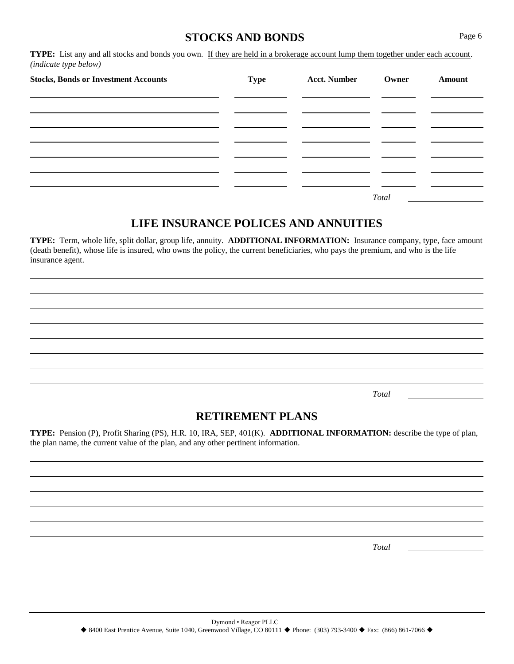#### **STOCKS AND BONDS** Page 6

**TYPE:** List any and all stocks and bonds you own. If they are held in a brokerage account lump them together under each account. *(indicate type below)* 

| <b>Stocks, Bonds or Investment Accounts</b> | <b>Type</b> | <b>Acct. Number</b> | Owner | <b>Amount</b> |
|---------------------------------------------|-------------|---------------------|-------|---------------|
|                                             |             |                     |       |               |
|                                             |             |                     |       |               |
|                                             |             |                     |       |               |
|                                             |             |                     |       |               |
|                                             |             |                     | Total |               |

#### **LIFE INSURANCE POLICES AND ANNUITIES**

**TYPE:** Term, whole life, split dollar, group life, annuity. **ADDITIONAL INFORMATION:** Insurance company, type, face amount (death benefit), whose life is insured, who owns the policy, the current beneficiaries, who pays the premium, and who is the life insurance agent.

*Total* 

### **RETIREMENT PLANS**

**TYPE:** Pension (P), Profit Sharing (PS), H.R. 10, IRA, SEP, 401(K). **ADDITIONAL INFORMATION:** describe the type of plan, the plan name, the current value of the plan, and any other pertinent information.

*Total*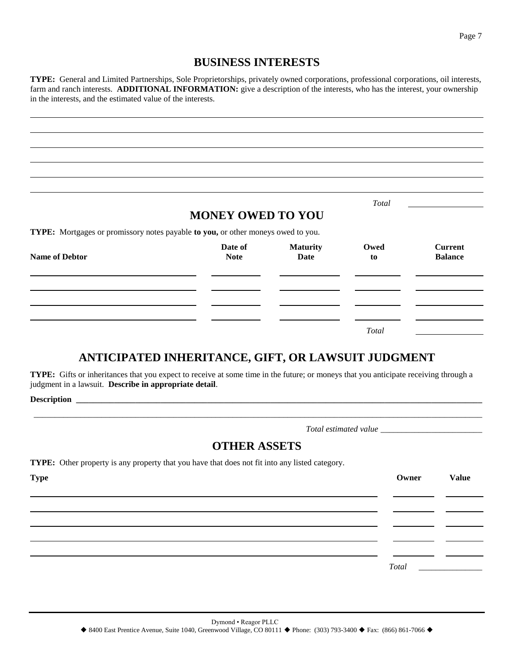#### **BUSINESS INTERESTS**

**TYPE:** General and Limited Partnerships, Sole Proprietorships, privately owned corporations, professional corporations, oil interests, farm and ranch interests. **ADDITIONAL INFORMATION:** give a description of the interests, who has the interest, your ownership in the interests, and the estimated value of the interests.

|                                                                                  |                          |                                | Total      |                                  |
|----------------------------------------------------------------------------------|--------------------------|--------------------------------|------------|----------------------------------|
|                                                                                  | <b>MONEY OWED TO YOU</b> |                                |            |                                  |
| TYPE: Mortgages or promissory notes payable to you, or other moneys owed to you. |                          |                                |            |                                  |
| <b>Name of Debtor</b>                                                            | Date of<br><b>Note</b>   | <b>Maturity</b><br><b>Date</b> | Owed<br>to | <b>Current</b><br><b>Balance</b> |
|                                                                                  |                          |                                |            |                                  |
|                                                                                  |                          |                                |            |                                  |
|                                                                                  |                          |                                |            |                                  |

## **ANTICIPATED INHERITANCE, GIFT, OR LAWSUIT JUDGMENT**

**TYPE:** Gifts or inheritances that you expect to receive at some time in the future; or moneys that you anticipate receiving through a judgment in a lawsuit. **Describe in appropriate detail**.

**Description \_\_\_\_\_\_\_\_\_\_\_\_\_\_\_\_\_\_\_\_\_\_\_\_\_\_\_\_\_\_\_\_\_\_\_\_\_\_\_\_\_\_\_\_\_\_\_\_\_\_\_\_\_\_\_\_\_\_\_\_\_\_\_\_\_\_\_\_\_\_\_\_\_\_\_\_\_\_\_\_\_\_\_\_\_\_\_\_\_\_\_\_\_\_\_\_** 

*Total estimated value \_\_\_\_\_\_\_\_\_\_\_\_\_\_\_\_\_\_\_\_\_\_\_\_* 

*Total* \_\_\_\_\_\_\_\_\_\_\_\_\_\_\_

#### **OTHER ASSETS**

\_\_\_\_\_\_\_\_\_\_\_\_\_\_\_\_\_\_\_\_\_\_\_\_\_\_\_\_\_\_\_\_\_\_\_\_\_\_\_\_\_\_\_\_\_\_\_\_\_\_\_\_\_\_\_\_\_\_\_\_\_\_\_\_\_\_\_\_\_\_\_\_\_\_\_\_\_\_\_\_\_\_\_\_\_\_\_\_\_\_\_\_\_\_\_\_\_\_\_\_\_\_\_\_\_\_

**TYPE:** Other property is any property that you have that does not fit into any listed category.

**Type Owner Value**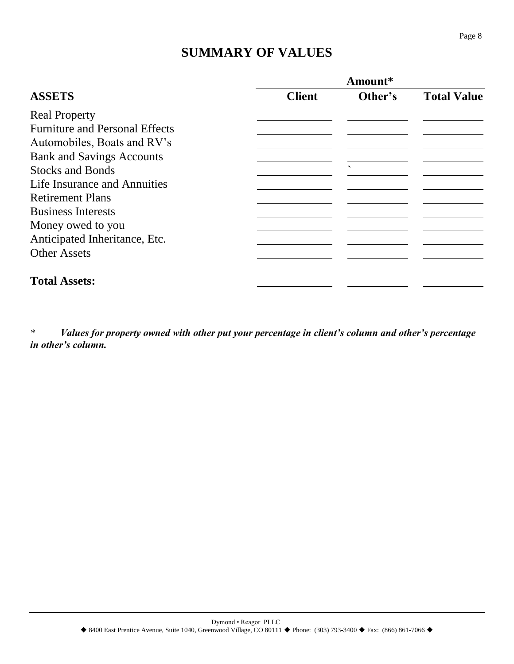# **SUMMARY OF VALUES**

| Amount*       |                          |                    |
|---------------|--------------------------|--------------------|
| <b>Client</b> | Other's                  | <b>Total Value</b> |
|               |                          |                    |
|               |                          |                    |
|               |                          |                    |
|               |                          |                    |
|               | $\overline{\phantom{0}}$ |                    |
|               |                          |                    |
|               |                          |                    |
|               |                          |                    |
|               |                          |                    |
|               |                          |                    |
|               |                          |                    |
|               |                          |                    |
|               |                          |                    |

*\* Values for property owned with other put your percentage in client's column and other's percentage in other's column.*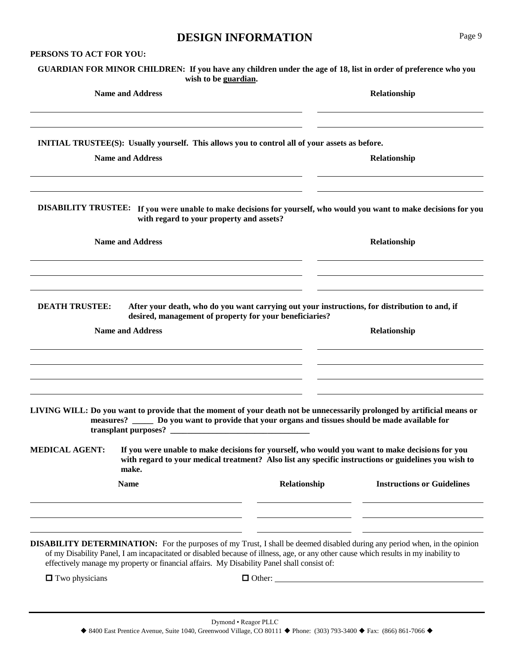#### **DESIGN INFORMATION** Page 9

**PERSONS TO ACT FOR YOU:** 

|                         | GUARDIAN FOR MINOR CHILDREN: If you have any children under the age of 18, list in order of preference who you<br>wish to be guardian.                                                                                                               |              |                                   |  |
|-------------------------|------------------------------------------------------------------------------------------------------------------------------------------------------------------------------------------------------------------------------------------------------|--------------|-----------------------------------|--|
|                         | <b>Name and Address</b>                                                                                                                                                                                                                              |              | Relationship                      |  |
|                         | <b>INITIAL TRUSTEE(S):</b> Usually yourself. This allows you to control all of your assets as before.                                                                                                                                                |              |                                   |  |
|                         | <b>Name and Address</b>                                                                                                                                                                                                                              |              | Relationship                      |  |
|                         | DISABILITY TRUSTEE: If you were unable to make decisions for yourself, who would you want to make decisions for you<br>with regard to your property and assets?                                                                                      |              |                                   |  |
| <b>Name and Address</b> |                                                                                                                                                                                                                                                      |              | Relationship                      |  |
| <b>DEATH TRUSTEE:</b>   | After your death, who do you want carrying out your instructions, for distribution to and, if<br>desired, management of property for your beneficiaries?<br><b>Name and Address</b>                                                                  |              | Relationship                      |  |
|                         | LIVING WILL: Do you want to provide that the moment of your death not be unnecessarily prolonged by artificial means or<br>measures? ______ Do you want to provide that your organs and tissues should be made available for<br>transplant purposes? |              |                                   |  |
| <b>MEDICAL AGENT:</b>   | If you were unable to make decisions for yourself, who would you want to make decisions for you<br>with regard to your medical treatment? Also list any specific instructions or guidelines you wish to<br>make.                                     |              |                                   |  |
|                         | <b>Name</b>                                                                                                                                                                                                                                          | Relationship | <b>Instructions or Guidelines</b> |  |
|                         |                                                                                                                                                                                                                                                      |              |                                   |  |

of my Disability Panel, I am incapacitated or disabled because of illness, age, or any other cause which results in my inability to effectively manage my property or financial affairs. My Disability Panel shall consist of:

Two physicians Other: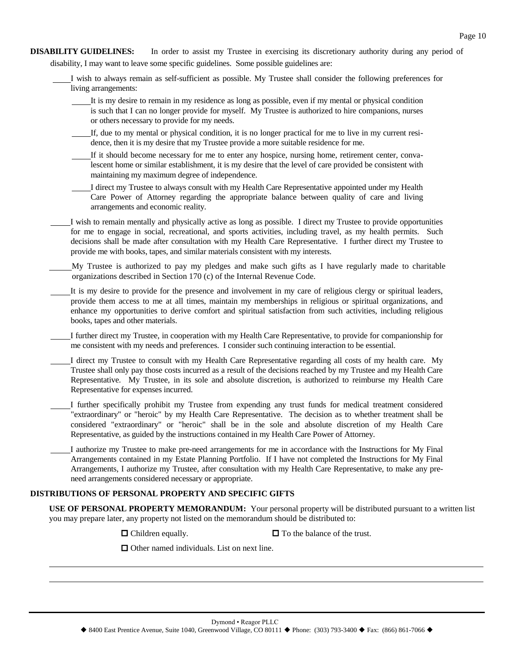- **DISABILITY GUIDELINES:** In order to assist my Trustee in exercising its discretionary authority during any period of disability, I may want to leave some specific guidelines. Some possible guidelines are:
	- I wish to always remain as self-sufficient as possible. My Trustee shall consider the following preferences for living arrangements:
		- It is my desire to remain in my residence as long as possible, even if my mental or physical condition is such that I can no longer provide for myself. My Trustee is authorized to hire companions, nurses or others necessary to provide for my needs.
		- If, due to my mental or physical condition, it is no longer practical for me to live in my current residence, then it is my desire that my Trustee provide a more suitable residence for me.
		- If it should become necessary for me to enter any hospice, nursing home, retirement center, convalescent home or similar establishment, it is my desire that the level of care provided be consistent with maintaining my maximum degree of independence.
		- I direct my Trustee to always consult with my Health Care Representative appointed under my Health Care Power of Attorney regarding the appropriate balance between quality of care and living arrangements and economic reality.
	- I wish to remain mentally and physically active as long as possible. I direct my Trustee to provide opportunities for me to engage in social, recreational, and sports activities, including travel, as my health permits. Such decisions shall be made after consultation with my Health Care Representative. I further direct my Trustee to provide me with books, tapes, and similar materials consistent with my interests.
	- My Trustee is authorized to pay my pledges and make such gifts as I have regularly made to charitable organizations described in Section 170 (c) of the Internal Revenue Code.
	- It is my desire to provide for the presence and involvement in my care of religious clergy or spiritual leaders, provide them access to me at all times, maintain my memberships in religious or spiritual organizations, and enhance my opportunities to derive comfort and spiritual satisfaction from such activities, including religious books, tapes and other materials.
	- I further direct my Trustee, in cooperation with my Health Care Representative, to provide for companionship for me consistent with my needs and preferences. I consider such continuing interaction to be essential.
	- I direct my Trustee to consult with my Health Care Representative regarding all costs of my health care. My Trustee shall only pay those costs incurred as a result of the decisions reached by my Trustee and my Health Care Representative. My Trustee, in its sole and absolute discretion, is authorized to reimburse my Health Care Representative for expenses incurred.
		- I further specifically prohibit my Trustee from expending any trust funds for medical treatment considered "extraordinary" or "heroic" by my Health Care Representative. The decision as to whether treatment shall be considered "extraordinary" or "heroic" shall be in the sole and absolute discretion of my Health Care Representative, as guided by the instructions contained in my Health Care Power of Attorney.
	- I authorize my Trustee to make pre-need arrangements for me in accordance with the Instructions for My Final Arrangements contained in my Estate Planning Portfolio. If I have not completed the Instructions for My Final Arrangements, I authorize my Trustee, after consultation with my Health Care Representative, to make any preneed arrangements considered necessary or appropriate.

#### **DISTRIBUTIONS OF PERSONAL PROPERTY AND SPECIFIC GIFTS**

**USE OF PERSONAL PROPERTY MEMORANDUM:** Your personal property will be distributed pursuant to a written list you may prepare later, any property not listed on the memorandum should be distributed to:

- 
- $\Box$  Children equally.  $\Box$  To the balance of the trust.

 $\Box$  Other named individuals. List on next line.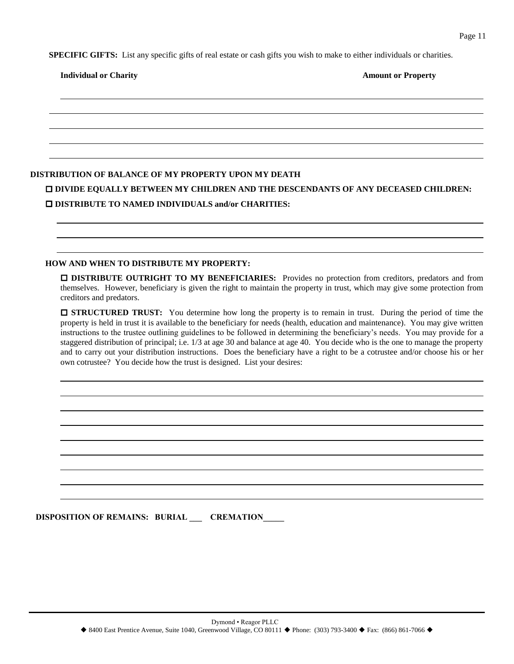**SPECIFIC GIFTS:** List any specific gifts of real estate or cash gifts you wish to make to either individuals or charities.

#### **Individual or Charity Amount or Property Amount or Property**

#### **DISTRIBUTION OF BALANCE OF MY PROPERTY UPON MY DEATH**

 **DIVIDE EQUALLY BETWEEN MY CHILDREN AND THE DESCENDANTS OF ANY DECEASED CHILDREN: DISTRIBUTE TO NAMED INDIVIDUALS and/or CHARITIES:** 

#### **HOW AND WHEN TO DISTRIBUTE MY PROPERTY:**

**DISTRIBUTE OUTRIGHT TO MY BENEFICIARIES:** Provides no protection from creditors, predators and from themselves. However, beneficiary is given the right to maintain the property in trust, which may give some protection from creditors and predators.

 **STRUCTURED TRUST:** You determine how long the property is to remain in trust. During the period of time the property is held in trust it is available to the beneficiary for needs (health, education and maintenance). You may give written instructions to the trustee outlining guidelines to be followed in determining the beneficiary's needs. You may provide for a staggered distribution of principal; i.e. 1/3 at age 30 and balance at age 40. You decide who is the one to manage the property and to carry out your distribution instructions. Does the beneficiary have a right to be a cotrustee and/or choose his or her own cotrustee? You decide how the trust is designed. List your desires:

**DISPOSITION OF REMAINS: BURIAL \_\_\_\_ CREMATION**